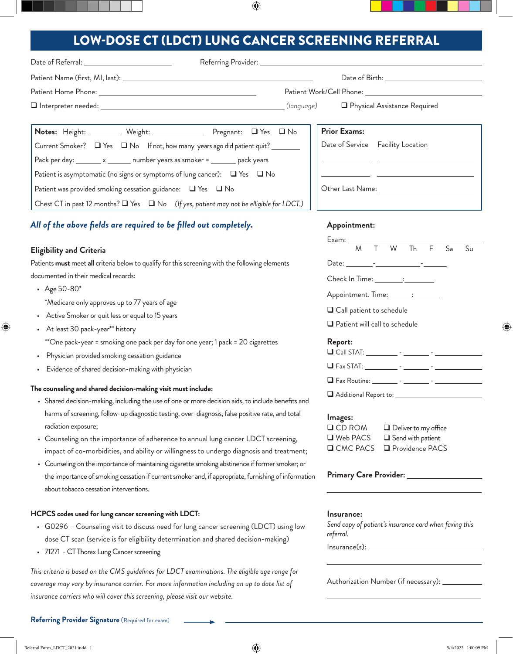## LOW-DOSE CT (LDCT) LUNG CANCER SCREENING REFERRAL

 $\bigoplus$ 

| Date of Referral: __________________________                                                                                                                                  |                                                                                        |
|-------------------------------------------------------------------------------------------------------------------------------------------------------------------------------|----------------------------------------------------------------------------------------|
|                                                                                                                                                                               |                                                                                        |
|                                                                                                                                                                               |                                                                                        |
|                                                                                                                                                                               | (language)<br>Physical Assistance Required                                             |
| Notes: Height: _________ Weight: ________________ Pregnant: □ Yes □ No                                                                                                        | <b>Prior Exams:</b>                                                                    |
| Current Smoker? □ Yes □ No If not, how many years ago did patient quit? _______                                                                                               | Date of Service Facility Location                                                      |
| Pack per day: _______ x _______ number years as smoker = _______ pack years                                                                                                   |                                                                                        |
| Patient is asymptomatic (no signs or symptoms of lung cancer): $\Box$ Yes $\Box$ No                                                                                           |                                                                                        |
| Patient was provided smoking cessation guidance: $\Box$ Yes $\Box$ No                                                                                                         |                                                                                        |
| Chest CT in past 12 months? Q Yes Q No (If yes, patient may not be elligible for LDCT.)                                                                                       |                                                                                        |
| All of the above fields are required to be filled out completely.                                                                                                             | Appointment:                                                                           |
|                                                                                                                                                                               |                                                                                        |
| <b>Eligibility and Criteria</b>                                                                                                                                               | $\mathsf{F}$<br>M<br>W<br>Sa<br>$\mathsf{T}$<br>Th<br>Su                               |
| Patients must meet all criteria below to qualify for this screening with the following elements<br>documented in their medical records:                                       |                                                                                        |
|                                                                                                                                                                               | Check In Time: _________: ________                                                     |
| • Age $50 - 80$ <sup>*</sup>                                                                                                                                                  | Appointment. Time: _______: _______                                                    |
| *Medicare only approves up to 77 years of age<br>Active Smoker or quit less or equal to 15 years                                                                              | □ Call patient to schedule                                                             |
| At least 30 pack-year** history                                                                                                                                               | $\Box$ Patient will call to schedule                                                   |
| **One pack-year = smoking one pack per day for one year; 1 pack = 20 cigarettes                                                                                               | Report:                                                                                |
| Physician provided smoking cessation guidance                                                                                                                                 |                                                                                        |
| Evidence of shared decision-making with physician                                                                                                                             |                                                                                        |
|                                                                                                                                                                               |                                                                                        |
| The counseling and shared decision-making visit must include:                                                                                                                 | $\Box$ Additional Report to:                                                           |
| • Shared decision-making, including the use of one or more decision aids, to include benefits and                                                                             |                                                                                        |
| harms of screening, follow-up diagnostic testing, over-diagnosis, false positive rate, and total                                                                              | Images:                                                                                |
| radiation exposure;                                                                                                                                                           | $\Box$ CD ROM<br>$\Box$ Deliver to my office<br>□ Web PACS<br>$\Box$ Send with patient |
| • Counseling on the importance of adherence to annual lung cancer LDCT screening,<br>impact of co-morbidities, and ability or willingness to undergo diagnosis and treatment; | <b>Q</b> CMC PACS<br>Providence PACS                                                   |
| • Counseling on the importance of maintaining cigarette smoking abstinence if former smoker; or                                                                               |                                                                                        |
| the importance of smoking cessation if current smoker and, if appropriate, furnishing of information                                                                          | Primary Care Provider: _______                                                         |
| about tobacco cessation interventions.                                                                                                                                        |                                                                                        |
| HCPCS codes used for lung cancer screening with LDCT:                                                                                                                         | Insurance:                                                                             |
| • G0296 - Counseling visit to discuss need for lung cancer screening (LDCT) using low                                                                                         | Send copy of patient's insurance card when faxing this                                 |
| dose CT scan (service is for eligibility determination and shared decision-making)                                                                                            | referral.                                                                              |
| • 71271 - CT Thorax Lung Cancer screening                                                                                                                                     |                                                                                        |
| This criteria is based on the CMS guidelines for LDCT examinations. The eligible age range for                                                                                |                                                                                        |

*coverage may vary by insurance carrier. For more information including an up to date list of* 

*insurance carriers who will cover this screening, please visit our website.*

 $\bigoplus$ 

 $\bigoplus$ 

Authorization Number (if necessary): \_\_

 $\overline{a}$